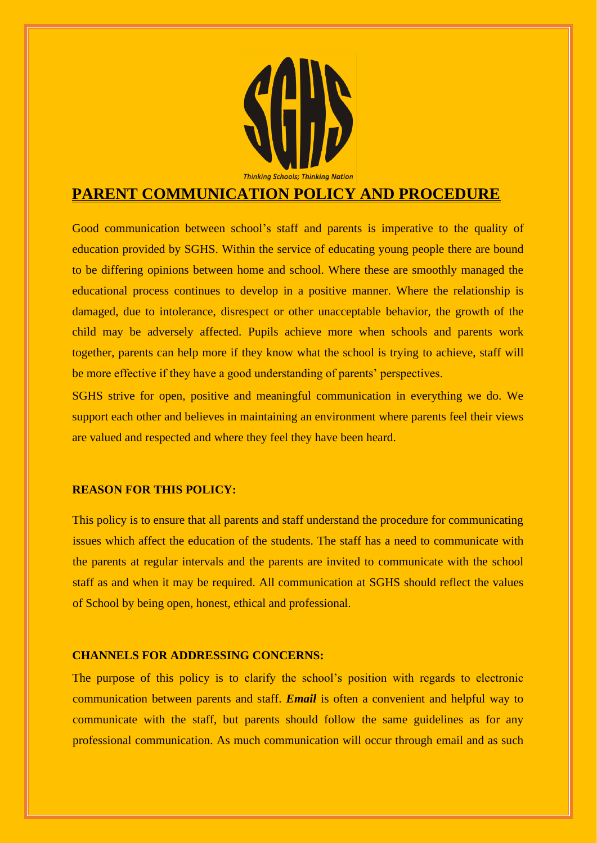

# **PARENT COMMUNICATION POLICY AND PROCEDURE**

Good communication between school's staff and parents is imperative to the quality of education provided by SGHS. Within the service of educating young people there are bound to be differing opinions between home and school. Where these are smoothly managed the educational process continues to develop in a positive manner. Where the relationship is damaged, due to intolerance, disrespect or other unacceptable behavior, the growth of the child may be adversely affected. Pupils achieve more when schools and parents work together, parents can help more if they know what the school is trying to achieve, staff will be more effective if they have a good understanding of parents' perspectives.

SGHS strive for open, positive and meaningful communication in everything we do. We support each other and believes in maintaining an environment where parents feel their views are valued and respected and where they feel they have been heard.

## **REASON FOR THIS POLICY:**

This policy is to ensure that all parents and staff understand the procedure for communicating issues which affect the education of the students. The staff has a need to communicate with the parents at regular intervals and the parents are invited to communicate with the school staff as and when it may be required. All communication at SGHS should reflect the values of School by being open, honest, ethical and professional.

#### **CHANNELS FOR ADDRESSING CONCERNS:**

The purpose of this policy is to clarify the school's position with regards to electronic communication between parents and staff. *Email* is often a convenient and helpful way to communicate with the staff, but parents should follow the same guidelines as for any professional communication. As much communication will occur through email and as such